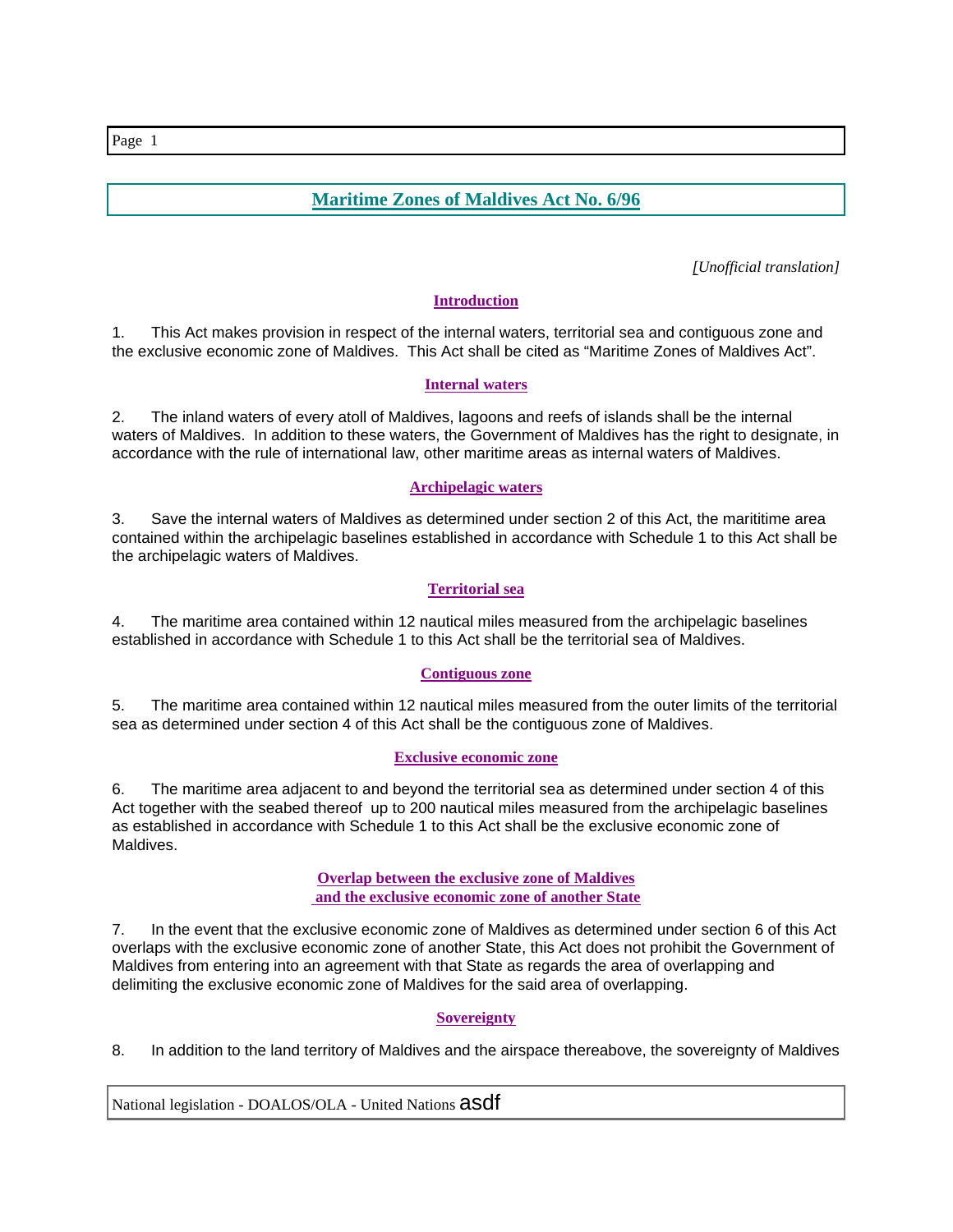# **Maritime Zones of Maldives Act No. 6/96**

*[Unofficial translation]*

# **Introduction**

1. This Act makes provision in respect of the internal waters, territorial sea and contiguous zone and the exclusive economic zone of Maldives. This Act shall be cited as "Maritime Zones of Maldives Act".

## **Internal waters**

2. The inland waters of every atoll of Maldives, lagoons and reefs of islands shall be the internal waters of Maldives. In addition to these waters, the Government of Maldives has the right to designate, in accordance with the rule of international law, other maritime areas as internal waters of Maldives.

## **Archipelagic waters**

3. Save the internal waters of Maldives as determined under section 2 of this Act, the marititime area contained within the archipelagic baselines established in accordance with Schedule 1 to this Act shall be the archipelagic waters of Maldives.

# **Territorial sea**

4. The maritime area contained within 12 nautical miles measured from the archipelagic baselines established in accordance with Schedule 1 to this Act shall be the territorial sea of Maldives.

# **Contiguous zone**

5. The maritime area contained within 12 nautical miles measured from the outer limits of the territorial sea as determined under section 4 of this Act shall be the contiguous zone of Maldives.

# **Exclusive economic zone**

6. The maritime area adjacent to and beyond the territorial sea as determined under section 4 of this Act together with the seabed thereof up to 200 nautical miles measured from the archipelagic baselines as established in accordance with Schedule 1 to this Act shall be the exclusive economic zone of Maldives.

#### **Overlap between the exclusive zone of Maldives and the exclusive economic zone of another State**

7. In the event that the exclusive economic zone of Maldives as determined under section 6 of this Act overlaps with the exclusive economic zone of another State, this Act does not prohibit the Government of Maldives from entering into an agreement with that State as regards the area of overlapping and delimiting the exclusive economic zone of Maldives for the said area of overlapping.

# **Sovereignty**

8. In addition to the land territory of Maldives and the airspace thereabove, the sovereignty of Maldives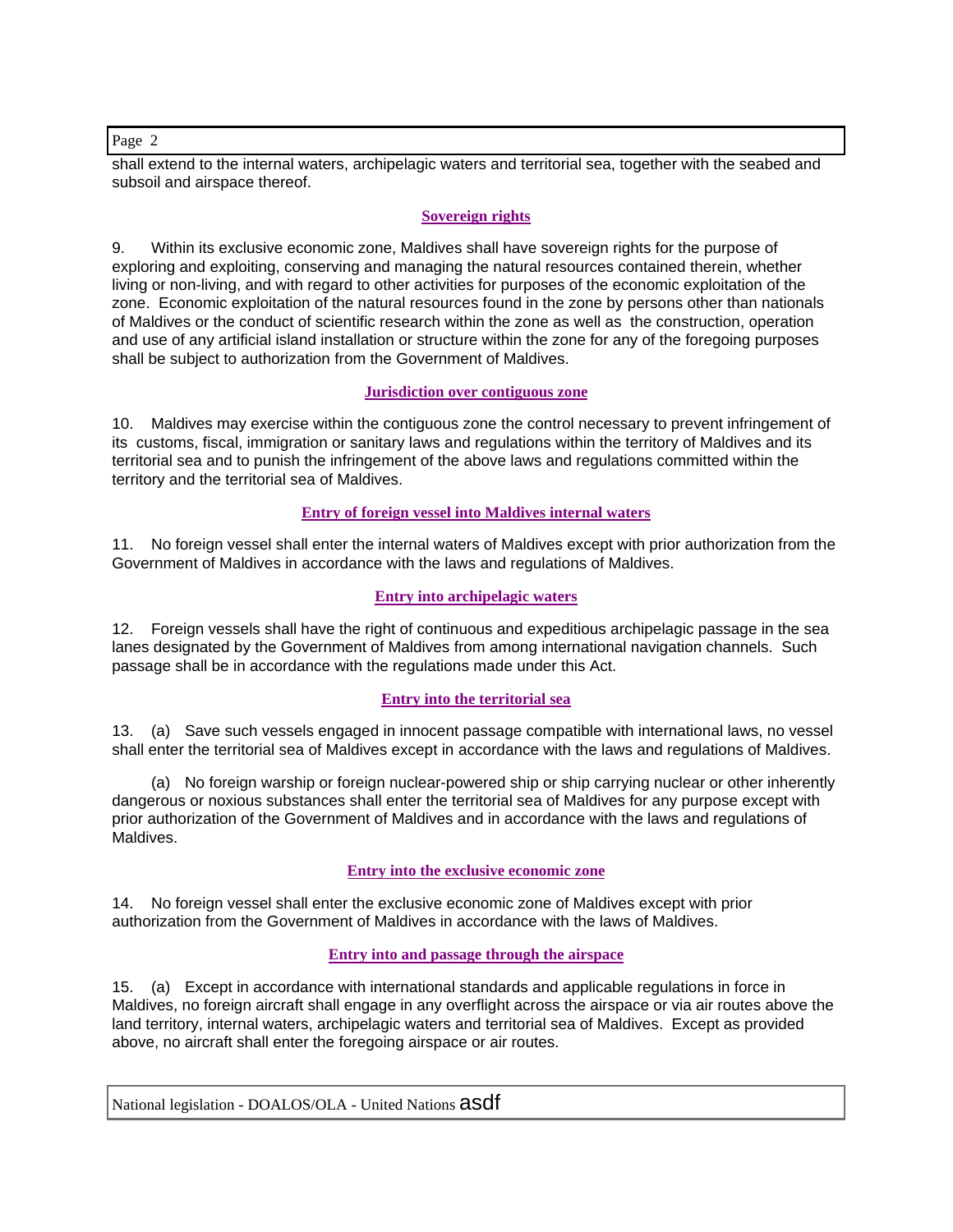shall extend to the internal waters, archipelagic waters and territorial sea, together with the seabed and subsoil and airspace thereof.

## **Sovereign rights**

9. Within its exclusive economic zone, Maldives shall have sovereign rights for the purpose of exploring and exploiting, conserving and managing the natural resources contained therein, whether living or non-living, and with regard to other activities for purposes of the economic exploitation of the zone. Economic exploitation of the natural resources found in the zone by persons other than nationals of Maldives or the conduct of scientific research within the zone as well as the construction, operation and use of any artificial island installation or structure within the zone for any of the foregoing purposes shall be subject to authorization from the Government of Maldives.

#### **Jurisdiction over contiguous zone**

10. Maldives may exercise within the contiguous zone the control necessary to prevent infringement of its customs, fiscal, immigration or sanitary laws and regulations within the territory of Maldives and its territorial sea and to punish the infringement of the above laws and regulations committed within the territory and the territorial sea of Maldives.

# **Entry of foreign vessel into Maldives internal waters**

11. No foreign vessel shall enter the internal waters of Maldives except with prior authorization from the Government of Maldives in accordance with the laws and regulations of Maldives.

## **Entry into archipelagic waters**

12. Foreign vessels shall have the right of continuous and expeditious archipelagic passage in the sea lanes designated by the Government of Maldives from among international navigation channels. Such passage shall be in accordance with the regulations made under this Act.

#### **Entry into the territorial sea**

13. (a) Save such vessels engaged in innocent passage compatible with international laws, no vessel shall enter the territorial sea of Maldives except in accordance with the laws and regulations of Maldives.

 (a) No foreign warship or foreign nuclear-powered ship or ship carrying nuclear or other inherently dangerous or noxious substances shall enter the territorial sea of Maldives for any purpose except with prior authorization of the Government of Maldives and in accordance with the laws and regulations of Maldives.

#### **Entry into the exclusive economic zone**

14. No foreign vessel shall enter the exclusive economic zone of Maldives except with prior authorization from the Government of Maldives in accordance with the laws of Maldives.

#### **Entry into and passage through the airspace**

15. (a) Except in accordance with international standards and applicable regulations in force in Maldives, no foreign aircraft shall engage in any overflight across the airspace or via air routes above the land territory, internal waters, archipelagic waters and territorial sea of Maldives. Except as provided above, no aircraft shall enter the foregoing airspace or air routes.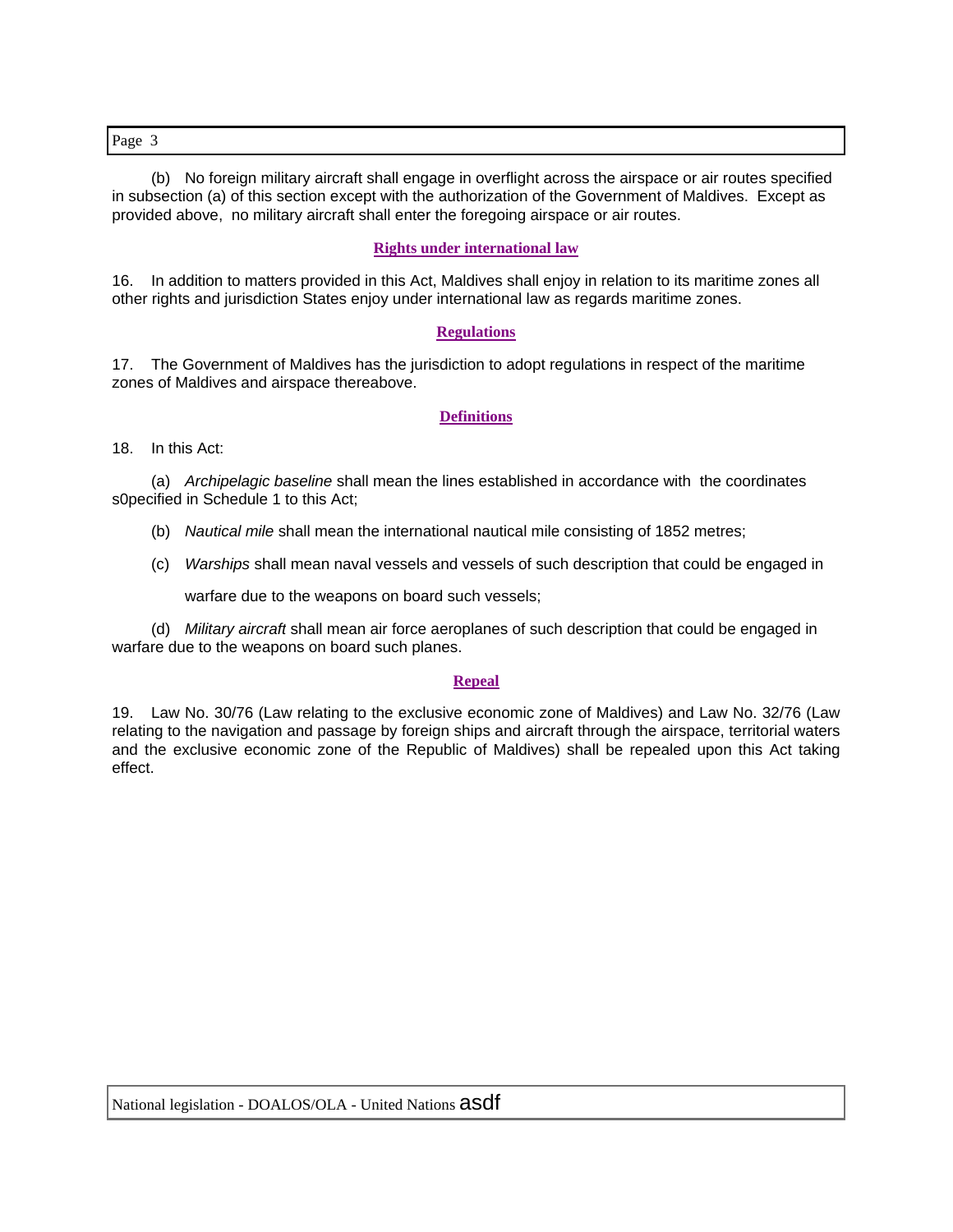(b) No foreign military aircraft shall engage in overflight across the airspace or air routes specified in subsection (a) of this section except with the authorization of the Government of Maldives. Except as provided above, no military aircraft shall enter the foregoing airspace or air routes.

### **Rights under international law**

16. In addition to matters provided in this Act, Maldives shall enjoy in relation to its maritime zones all other rights and jurisdiction States enjoy under international law as regards maritime zones.

#### **Regulations**

17. The Government of Maldives has the jurisdiction to adopt regulations in respect of the maritime zones of Maldives and airspace thereabove.

#### **Definitions**

18. In this Act:

 (a) *Archipelagic baseline* shall mean the lines established in accordance with the coordinates s0pecified in Schedule 1 to this Act;

- (b) *Nautical mile* shall mean the international nautical mile consisting of 1852 metres;
- (c) *Warships* shall mean naval vessels and vessels of such description that could be engaged in

warfare due to the weapons on board such vessels;

 (d) *Military aircraft* shall mean air force aeroplanes of such description that could be engaged in warfare due to the weapons on board such planes.

#### **Repeal**

19. Law No. 30/76 (Law relating to the exclusive economic zone of Maldives) and Law No. 32/76 (Law relating to the navigation and passage by foreign ships and aircraft through the airspace, territorial waters and the exclusive economic zone of the Republic of Maldives) shall be repealed upon this Act taking effect.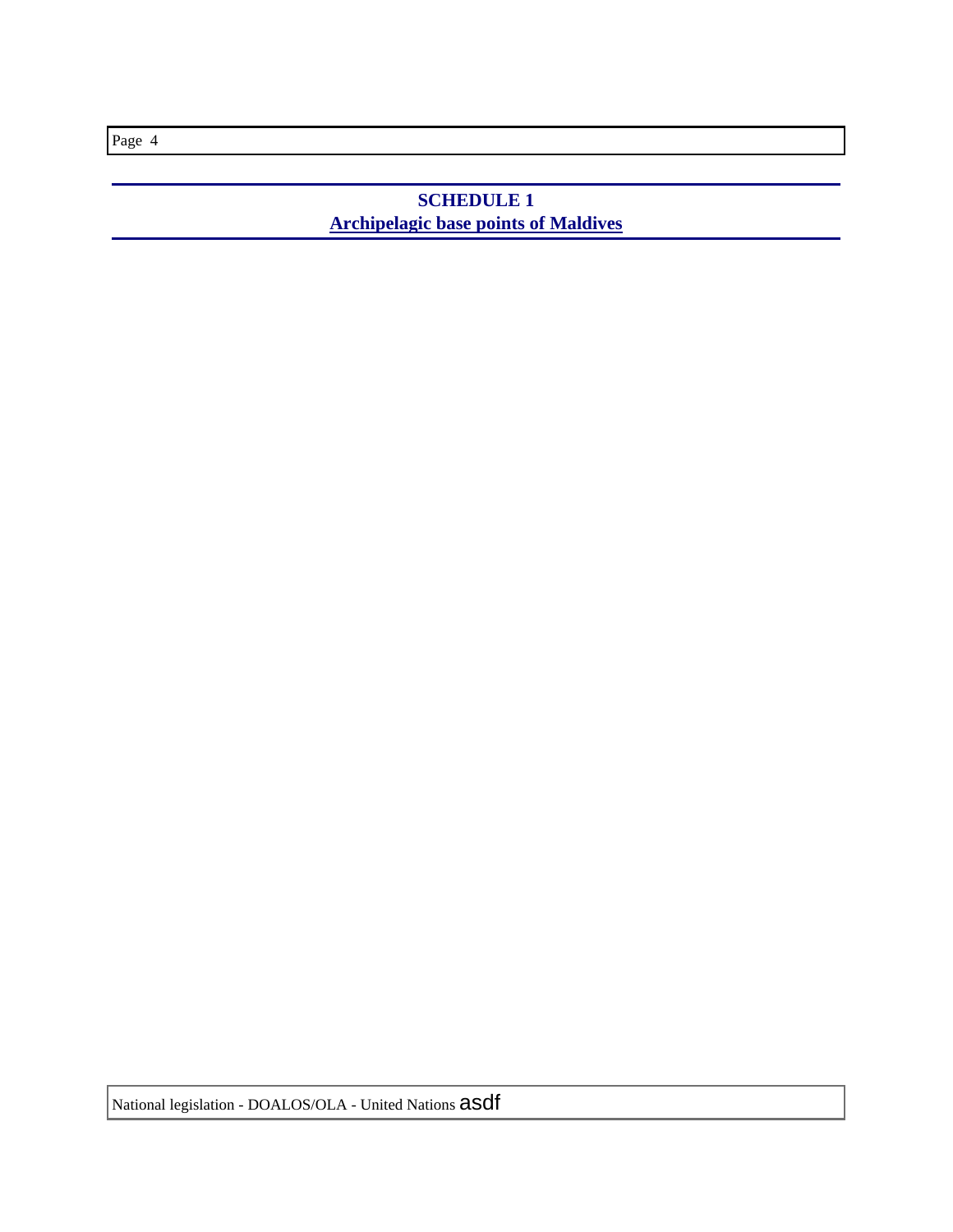# **SCHEDULE 1 Archipelagic base points of Maldives**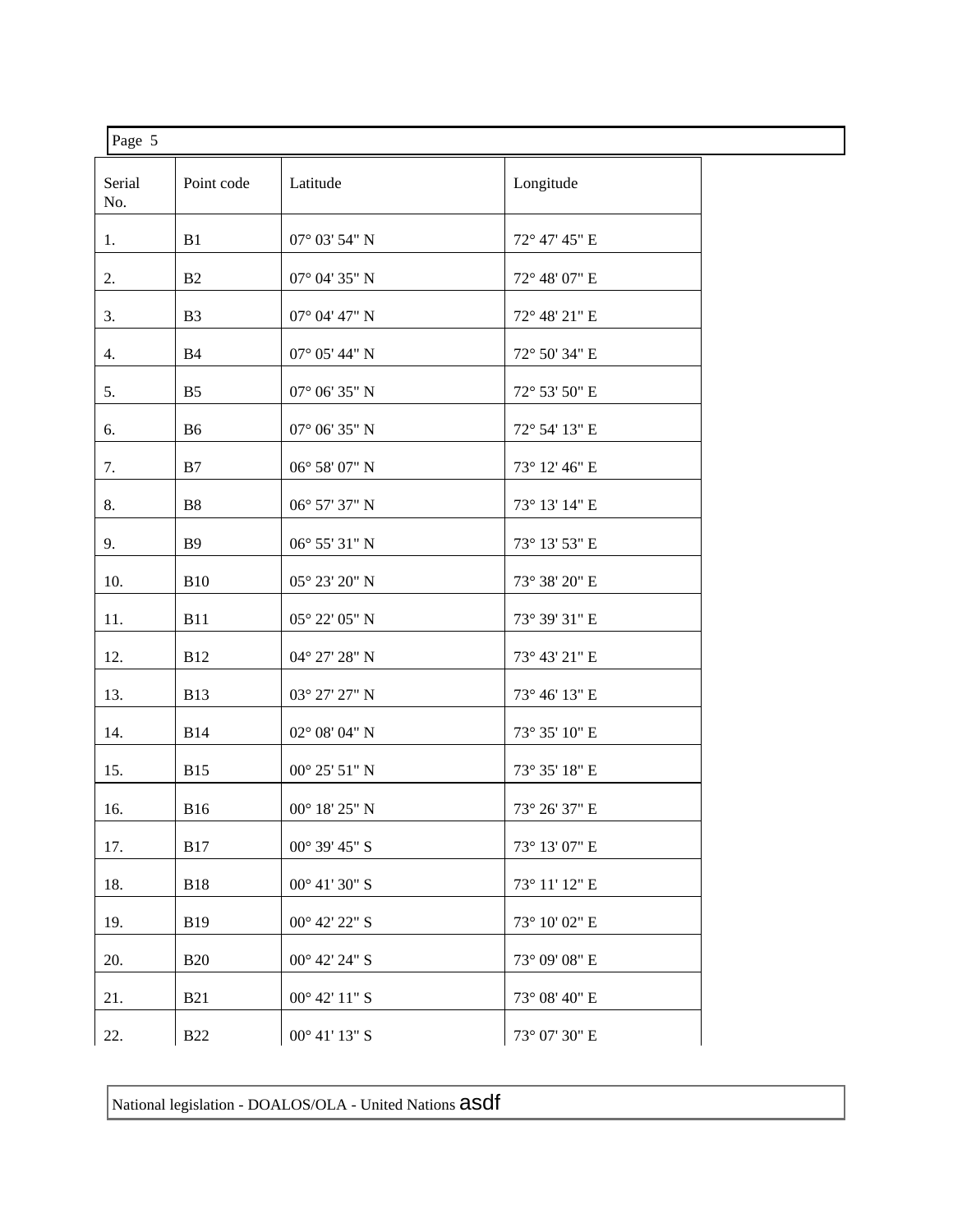| Page 5        |                |                        |               |  |
|---------------|----------------|------------------------|---------------|--|
| Serial<br>No. | Point code     | Latitude               | Longitude     |  |
| 1.            | B1             | 07° 03' 54" N          | 72° 47' 45" E |  |
| 2.            | B2             | $07^{\circ}$ 04' 35" N | 72° 48' 07" E |  |
| 3.            | B <sub>3</sub> | $07^{\circ}$ 04' 47" N | 72° 48' 21" E |  |
| 4.            | <b>B4</b>      | $07^{\circ}$ 05' 44" N | 72° 50' 34" E |  |
| 5.            | B <sub>5</sub> | $07^{\circ}$ 06' 35" N | 72° 53' 50" E |  |
| 6.            | B6             | $07^{\circ}$ 06' 35" N | 72° 54' 13" E |  |
| 7.            | B7             | $06^{\circ}$ 58' 07" N | 73° 12' 46" E |  |
| 8.            | B8             | 06° 57' 37" N          | 73° 13' 14" E |  |
| 9.            | <b>B</b> 9     | 06° 55' 31" N          | 73° 13' 53" E |  |
| 10.           | <b>B10</b>     | 05° 23' 20" N          | 73° 38' 20" E |  |
| 11.           | <b>B11</b>     | 05° 22′ 05" N          | 73° 39' 31" E |  |
| 12.           | <b>B12</b>     | 04° 27' 28" N          | 73° 43' 21" E |  |
| 13.           | <b>B13</b>     | 03° 27' 27" N          | 73° 46' 13" E |  |
| 14.           | <b>B14</b>     | $02^{\circ}$ 08' 04" N | 73° 35' 10" E |  |
| 15.           | <b>B15</b>     | $00^{\circ}$ 25' 51" N | 73° 35' 18" E |  |
| 16.           | <b>B16</b>     | $00^{\circ}$ 18' 25" N | 73° 26' 37" E |  |
| 17.           | <b>B17</b>     | $00^{\circ}$ 39' 45" S | 73° 13' 07" E |  |
| 18.           | <b>B18</b>     | $00^{\circ}$ 41' 30" S | 73° 11' 12" E |  |
| 19.           | <b>B19</b>     | $00^{\circ}$ 42' 22" S | 73° 10' 02" E |  |
| 20.           | <b>B20</b>     | $00^{\circ}$ 42' 24" S | 73° 09' 08" E |  |
| 21.           | <b>B21</b>     | $00^{\circ}$ 42' 11" S | 73° 08' 40" E |  |
| 22.           | <b>B22</b>     | $00^{\circ}$ 41' 13" S | 73° 07' 30" E |  |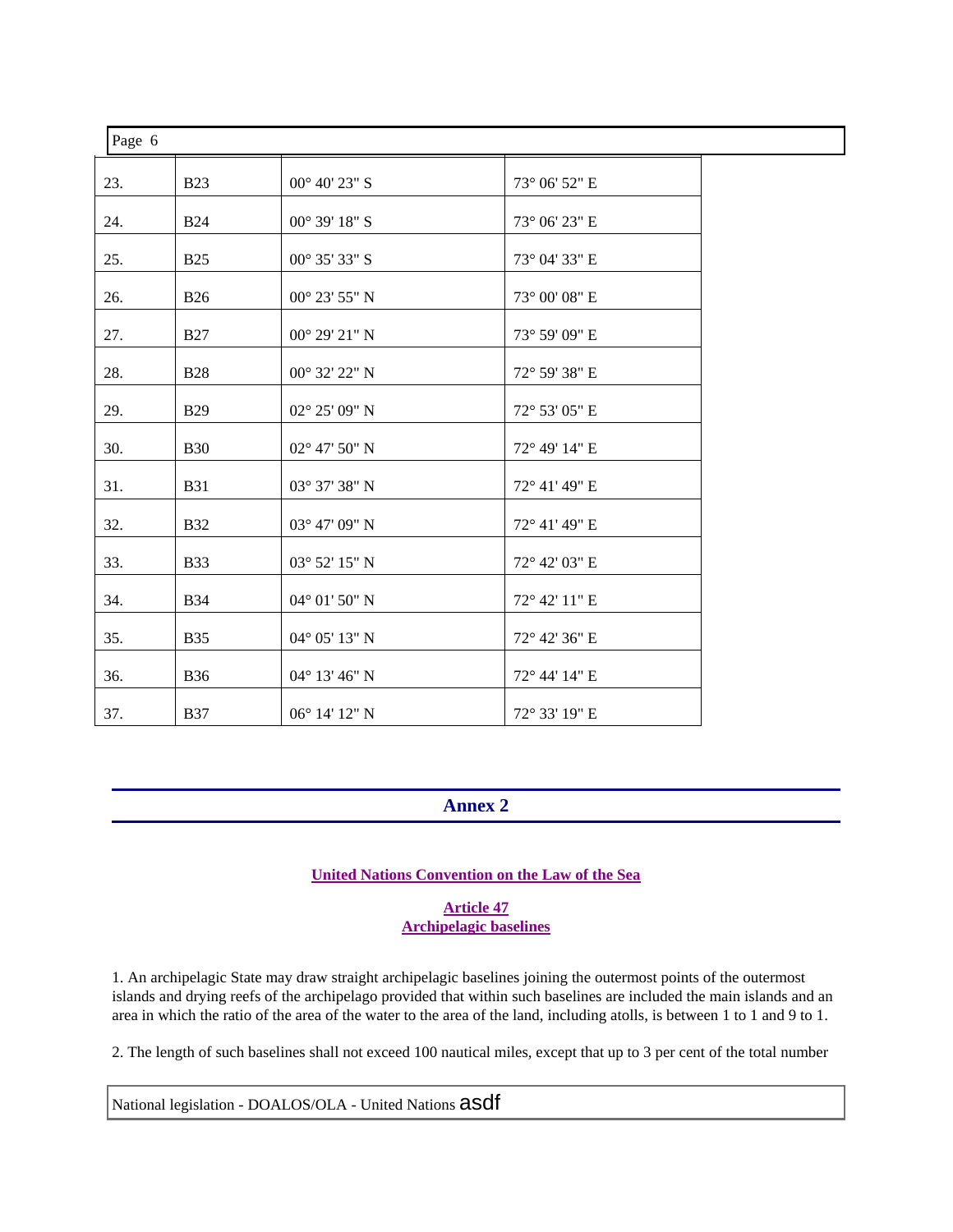| Page 6 |            |                        |               |  |  |
|--------|------------|------------------------|---------------|--|--|
| 23.    | <b>B23</b> | $00^{\circ}$ 40' 23" S | 73° 06' 52" E |  |  |
| 24.    | <b>B24</b> | $00^{\circ}$ 39' 18" S | 73° 06' 23" E |  |  |
| 25.    | <b>B25</b> | 00° 35' 33" S          | 73° 04' 33" E |  |  |
| 26.    | <b>B26</b> | 00° 23' 55" N          | 73° 00' 08" E |  |  |
| 27.    | <b>B27</b> | $00^{\circ}$ 29' 21" N | 73° 59' 09" E |  |  |
| 28.    | <b>B28</b> | 00° 32' 22" N          | 72° 59' 38" E |  |  |
| 29.    | <b>B29</b> | 02° 25' 09" N          | 72° 53' 05" E |  |  |
| 30.    | <b>B30</b> | $02^{\circ}$ 47' 50" N | 72° 49' 14" E |  |  |
| 31.    | <b>B31</b> | 03° 37' 38" N          | 72° 41' 49" E |  |  |
| 32.    | <b>B32</b> | 03° 47' 09" N          | 72° 41' 49" E |  |  |
| 33.    | <b>B33</b> | $03^{\circ}$ 52' 15" N | 72° 42' 03" E |  |  |
| 34.    | <b>B34</b> | $04^{\circ}$ 01' 50" N | 72° 42' 11" E |  |  |
| 35.    | <b>B35</b> | 04° 05' 13" N          | 72° 42' 36" E |  |  |
| 36.    | <b>B36</b> | 04° 13' 46" N          | 72° 44' 14" E |  |  |
| 37.    | <b>B37</b> | 06° 14' 12" N          | 72° 33' 19" E |  |  |

# **Annex 2**

#### **United Nations Convention on the Law of the Sea**

**Article 47 Archipelagic baselines**

1. An archipelagic State may draw straight archipelagic baselines joining the outermost points of the outermost islands and drying reefs of the archipelago provided that within such baselines are included the main islands and an area in which the ratio of the area of the water to the area of the land, including atolls, is between 1 to 1 and 9 to 1.

2. The length of such baselines shall not exceed 100 nautical miles, except that up to 3 per cent of the total number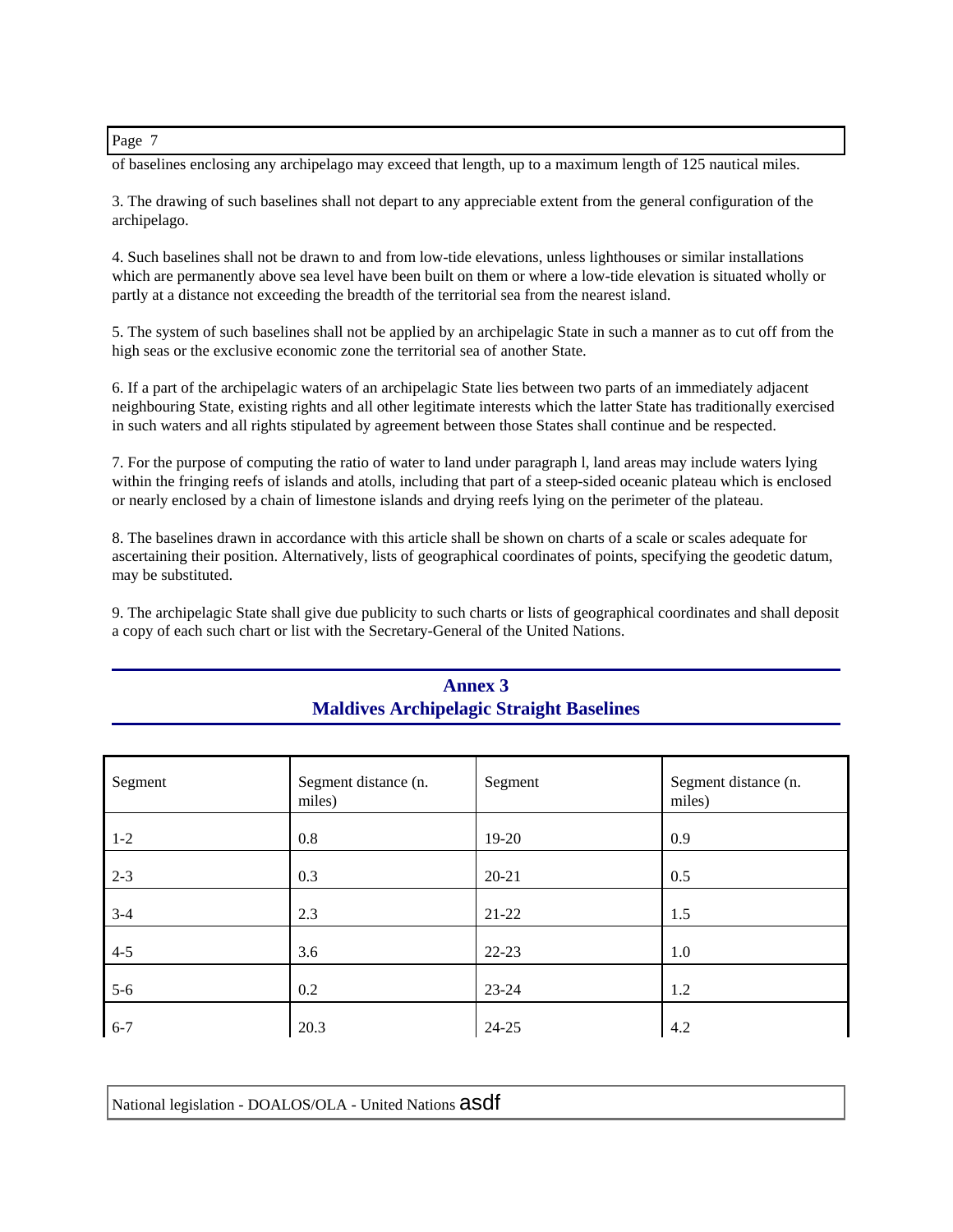of baselines enclosing any archipelago may exceed that length, up to a maximum length of 125 nautical miles.

3. The drawing of such baselines shall not depart to any appreciable extent from the general configuration of the archipelago.

4. Such baselines shall not be drawn to and from low-tide elevations, unless lighthouses or similar installations which are permanently above sea level have been built on them or where a low-tide elevation is situated wholly or partly at a distance not exceeding the breadth of the territorial sea from the nearest island.

5. The system of such baselines shall not be applied by an archipelagic State in such a manner as to cut off from the high seas or the exclusive economic zone the territorial sea of another State.

6. If a part of the archipelagic waters of an archipelagic State lies between two parts of an immediately adjacent neighbouring State, existing rights and all other legitimate interests which the latter State has traditionally exercised in such waters and all rights stipulated by agreement between those States shall continue and be respected.

7. For the purpose of computing the ratio of water to land under paragraph l, land areas may include waters lying within the fringing reefs of islands and atolls, including that part of a steep-sided oceanic plateau which is enclosed or nearly enclosed by a chain of limestone islands and drying reefs lying on the perimeter of the plateau.

8. The baselines drawn in accordance with this article shall be shown on charts of a scale or scales adequate for ascertaining their position. Alternatively, lists of geographical coordinates of points, specifying the geodetic datum, may be substituted.

9. The archipelagic State shall give due publicity to such charts or lists of geographical coordinates and shall deposit a copy of each such chart or list with the Secretary-General of the United Nations.

| Segment | Segment distance (n.<br>miles) | Segment   | Segment distance (n.<br>miles) |
|---------|--------------------------------|-----------|--------------------------------|
| $1 - 2$ | 0.8                            | 19-20     | 0.9                            |
| $2 - 3$ | 0.3                            | $20 - 21$ | 0.5                            |
| $3 - 4$ | 2.3                            | $21-22$   | 1.5                            |
| $4 - 5$ | 3.6                            | $22 - 23$ | 1.0                            |
| $5-6$   | 0.2                            | $23 - 24$ | 1.2                            |
| $6 - 7$ | 20.3                           | $24 - 25$ | 4.2                            |

# **Annex 3 Maldives Archipelagic Straight Baselines**

| National legislation - DOALOS/OLA - United Nations asdf |
|---------------------------------------------------------|
|---------------------------------------------------------|